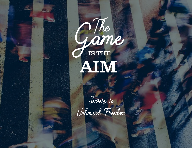

Secrets to Unlimited Freedom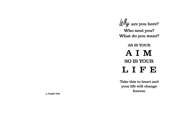Why are you here? Who sent you? What do you want?

AS IS YOUR AIM SO IS YOUR LIFE

Take this to heart and your life will change forever.

 $\mathcal{B}_{\!\mathscr{Y}}$  Blessings Divine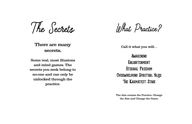The Secrets

There are many secrets.

Some real, most illusions and mind games. The secrets you seek belong to no-one and can only be unlocked through the practice.

What Practice?

Call it what you will…

Awakening **ENLIGHTENMENT** Eternal Freedom **OVERWHELMING SPIRITUAL BLISS** The Karmateet Stage

The Aim creates the Practice. Change the Aim and Change the Game.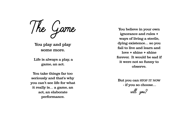The Game

You play and play some more.

 Life is always a play, a game, an act.

You take things far too seriously and that's why you can't see life for what it really is… a game, an act, an elaborate performance.

You believe in your own ignorance and rules + ways of living a sterile, dying existence… so you fail to live and learn and love + shine + shine forever. It would be sad if it were not so funny to observe.

But you can STOP IT NOW - if you so choose…

will you?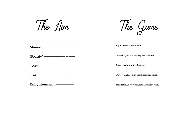The Aim

The Game

Fight, work, rush, chase

Obsess, ignore taunt, try, fail, admire

Lust, needs, wants, show, sly

Stop, look, listen, observe, discern, decide

Meditation, reverence, freedom now, who?

Money ———————————

'Beauty' ——————————

'Love' ———————————

Truth  $---$ 

Enlightenment ——————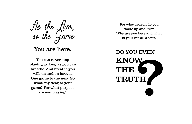As the Aim, so the Game

## You are here.

You can never stop playing as long as you can breathe. And breathe you will, on and on forever. One game to the next. So what, my dear, is your game? For what purpose are you playing?

For what reason do you wake up and live? Why are you here and what is your life all about?

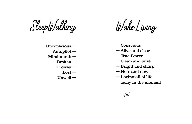SleepWalking

Unconscious — Autopilot — Mind-numb — Broken — Drowsy —  $\text{Loss}$  – Unwell —

WakeLiving

- Conscious
- Alive and clear
- True Power
- Clean and pure
- Bright and sharp
- Here and now
- Loving all of life today in the moment

Yes!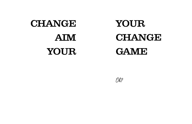## CHANGE AIM YOUR YOUR

CHANGE GAME

Ok?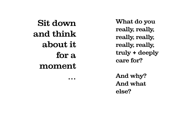Sit down and think about it for a moment … What do you really, really, really, really, really, really, truly + deeply care for?

And why? And what else?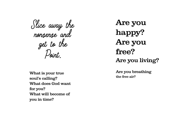Slice away the nonsense and get to the Point.

What is your true soul's calling? What does God want for you? What will become of you in time?

Are you happy? Are you free? Are you living?

Are you breathing the free air?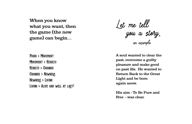When you know what you want, then the game (the new game) can begin…

FOCUS > MOVEMENT MOVEMENT > RESULTS Results > C #nges Changes > Newness Newness > Living Living > Alive and well at last!

Let me tell you a story, an example

A soul wanted to clear the past, overcome a guilty pleasure and make good on past ills. He wanted to Return Back to the Great Light and be born again anew.

His aim - To Be Pure and Free - was clear.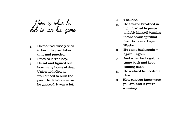Here is what he did to win his game

- 1. He realized, wisely, that to burn the past takes time and practice.
- 2. Practice is The Key.
- 3. He sat and figured out how many hours of deep Union with God he would need to burn the past. He didn't know, so he guessed. It was a lot.
- 4. The Plan.
- 5. He sat and breathed in light, bathed in peace and felt himself burning inside a vast spiritual fire. For hours. Days. Weeks.
- 6. He came back again + again + again.
- 7. And when he forgot, he came back and kept coming back.
- 8. He realized he needed a chart.
- 9. How can you know were you are, and if you're winning?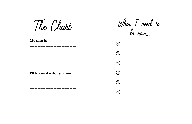The Chart

---------------------

 $ll$ hat  $\int$  need to<br>do now...

 $\bigcirc$ 

 $\bigcirc$ 

 $\bigcirc$ 

 $\bigcirc$ 

 $\bigcirc$ 

 $\bigoplus$ 

| _______________________  |  |
|--------------------------|--|
|                          |  |
|                          |  |
|                          |  |
|                          |  |
| I'll know it's done when |  |
|                          |  |
|                          |  |
|                          |  |
|                          |  |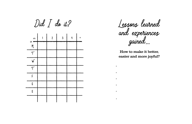

Lessons learned and experiences gained…

How to make it better, easier and more joyful?

\*

\* \*

\* \*

•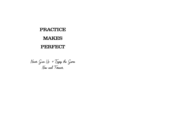## PRACTICE MAKES PERFECT

Never Give Up + Enjoy the Game Now and Forever.